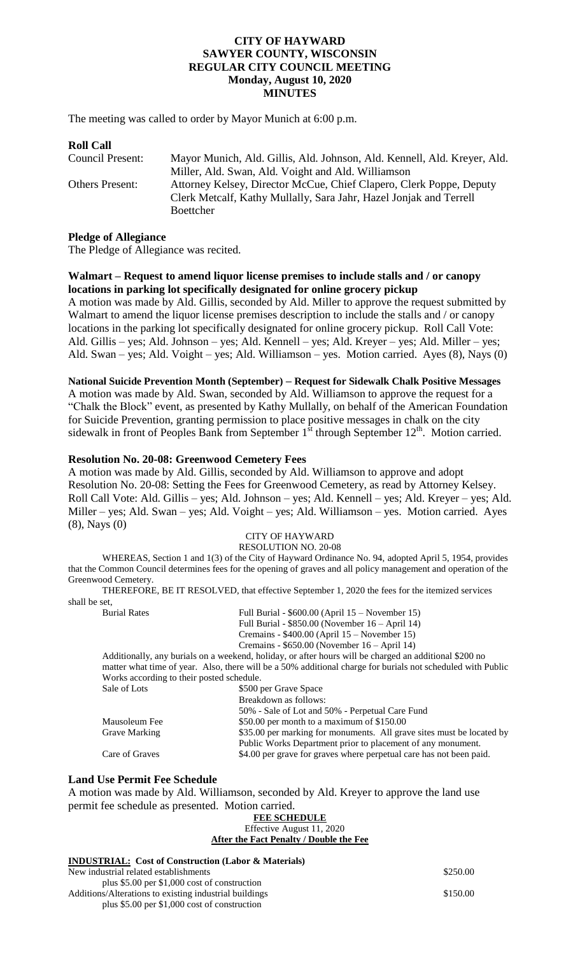#### **CITY OF HAYWARD SAWYER COUNTY, WISCONSIN REGULAR CITY COUNCIL MEETING Monday, August 10, 2020 MINUTES**

The meeting was called to order by Mayor Munich at 6:00 p.m.

| <b>Roll Call</b>       |                                                                          |
|------------------------|--------------------------------------------------------------------------|
| Council Present:       | Mayor Munich, Ald. Gillis, Ald. Johnson, Ald. Kennell, Ald. Kreyer, Ald. |
|                        | Miller, Ald. Swan, Ald. Voight and Ald. Williamson                       |
| <b>Others Present:</b> | Attorney Kelsey, Director McCue, Chief Clapero, Clerk Poppe, Deputy      |
|                        | Clerk Metcalf, Kathy Mullally, Sara Jahr, Hazel Jonjak and Terrell       |
|                        | Boettcher                                                                |

#### **Pledge of Allegiance**

The Pledge of Allegiance was recited.

#### **Walmart – Request to amend liquor license premises to include stalls and / or canopy locations in parking lot specifically designated for online grocery pickup**

A motion was made by Ald. Gillis, seconded by Ald. Miller to approve the request submitted by Walmart to amend the liquor license premises description to include the stalls and / or canopy locations in the parking lot specifically designated for online grocery pickup. Roll Call Vote: Ald. Gillis – yes; Ald. Johnson – yes; Ald. Kennell – yes; Ald. Kreyer – yes; Ald. Miller – yes; Ald. Swan – yes; Ald. Voight – yes; Ald. Williamson – yes. Motion carried. Ayes (8), Nays (0)

#### **National Suicide Prevention Month (September) – Request for Sidewalk Chalk Positive Messages**

A motion was made by Ald. Swan, seconded by Ald. Williamson to approve the request for a "Chalk the Block" event, as presented by Kathy Mullally, on behalf of the American Foundation for Suicide Prevention, granting permission to place positive messages in chalk on the city sidewalk in front of Peoples Bank from September  $1<sup>st</sup>$  through September  $12<sup>th</sup>$ . Motion carried.

#### **Resolution No. 20-08: Greenwood Cemetery Fees**

A motion was made by Ald. Gillis, seconded by Ald. Williamson to approve and adopt Resolution No. 20-08: Setting the Fees for Greenwood Cemetery, as read by Attorney Kelsey. Roll Call Vote: Ald. Gillis – yes; Ald. Johnson – yes; Ald. Kennell – yes; Ald. Kreyer – yes; Ald. Miller – yes; Ald. Swan – yes; Ald. Voight – yes; Ald. Williamson – yes. Motion carried. Ayes (8), Nays (0)

#### CITY OF HAYWARD RESOLUTION NO. 20-08

WHEREAS, Section 1 and 1(3) of the City of Hayward Ordinance No. 94, adopted April 5, 1954, provides that the Common Council determines fees for the opening of graves and all policy management and operation of the Greenwood Cemetery.

THEREFORE, BE IT RESOLVED, that effective September 1, 2020 the fees for the itemized services shall be set,

Burial Rates Full Burial - \$600.00 (April 15 – November 15) Full Burial - \$850.00 (November 16 – April 14) Cremains - \$400.00 (April 15 – November 15) Cremains - \$650.00 (November 16 – April 14)

Additionally, any burials on a weekend, holiday, or after hours will be charged an additional \$200 no matter what time of year. Also, there will be a 50% additional charge for burials not scheduled with Public Works according to their posted schedule. Sale of Lots  $$500$  per Grave Space

|                      | Breakdown as follows:                                                 |
|----------------------|-----------------------------------------------------------------------|
|                      | 50% - Sale of Lot and 50% - Perpetual Care Fund                       |
| Mausoleum Fee        | \$50.00 per month to a maximum of $$150.00$                           |
| <b>Grave Marking</b> | \$35.00 per marking for monuments. All grave sites must be located by |
|                      | Public Works Department prior to placement of any monument.           |
| Care of Graves       | \$4.00 per grave for graves where perpetual care has not been paid.   |

#### **Land Use Permit Fee Schedule**

A motion was made by Ald. Williamson, seconded by Ald. Kreyer to approve the land use permit fee schedule as presented. Motion carried. **FEE SCHEDULE**

| FEE SCHEDULE                                                |          |
|-------------------------------------------------------------|----------|
| Effective August 11, 2020                                   |          |
| After the Fact Penalty / Double the Fee                     |          |
| <b>INDUSTRIAL:</b> Cost of Construction (Labor & Materials) |          |
| New industrial related establishments                       | \$250.00 |
| plus $$5.00$ per $$1,000$ cost of construction              |          |
| Additions/Alterations to existing industrial buildings      | \$150.00 |
| plus $$5.00$ per $$1,000$ cost of construction              |          |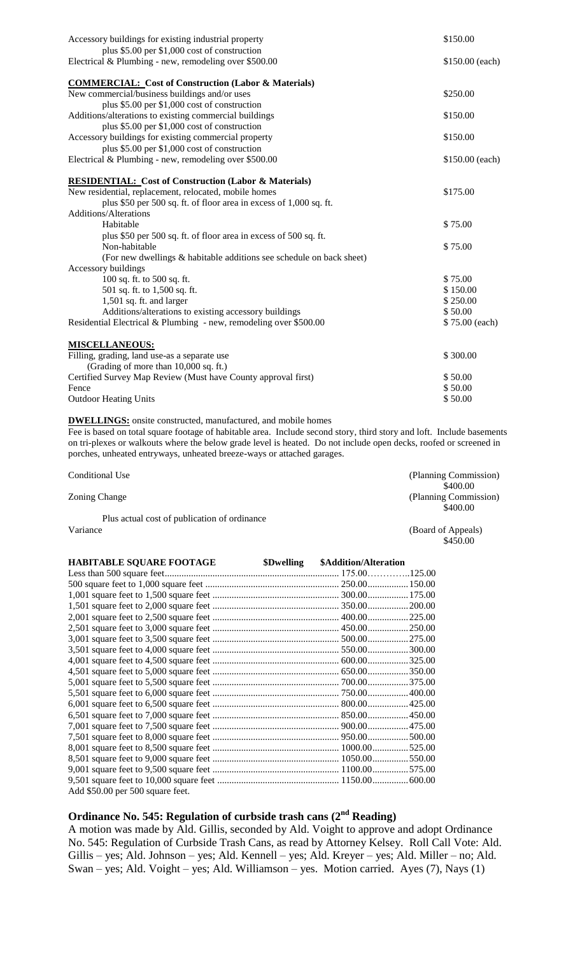| Accessory buildings for existing industrial property                 | \$150.00        |
|----------------------------------------------------------------------|-----------------|
| plus \$5.00 per \$1,000 cost of construction                         |                 |
| Electrical & Plumbing - new, remodeling over \$500.00                | \$150.00 (each) |
| <b>COMMERCIAL: Cost of Construction (Labor &amp; Materials)</b>      |                 |
| New commercial/business buildings and/or uses                        | \$250.00        |
| plus \$5.00 per \$1,000 cost of construction                         |                 |
| Additions/alterations to existing commercial buildings               | \$150.00        |
| plus \$5.00 per \$1,000 cost of construction                         |                 |
| Accessory buildings for existing commercial property                 | \$150.00        |
| plus \$5.00 per \$1,000 cost of construction                         |                 |
| Electrical & Plumbing - new, remodeling over \$500.00                | \$150.00 (each) |
| <b>RESIDENTIAL: Cost of Construction (Labor &amp; Materials)</b>     |                 |
| New residential, replacement, relocated, mobile homes                | \$175.00        |
| plus \$50 per 500 sq. ft. of floor area in excess of 1,000 sq. ft.   |                 |
| <b>Additions/Alterations</b>                                         |                 |
| Habitable                                                            | \$75.00         |
| plus \$50 per 500 sq. ft. of floor area in excess of 500 sq. ft.     |                 |
| Non-habitable                                                        | \$75.00         |
| (For new dwellings & habitable additions see schedule on back sheet) |                 |
| Accessory buildings                                                  |                 |
| 100 sq. ft. to 500 sq. ft.                                           | \$75.00         |
| 501 sq. ft. to 1,500 sq. ft.                                         | \$150.00        |
| 1,501 sq. ft. and larger                                             | \$250.00        |
| Additions/alterations to existing accessory buildings                | \$50.00         |
| Residential Electrical & Plumbing - new, remodeling over \$500.00    | \$75.00 (each)  |
| <b>MISCELLANEOUS:</b>                                                |                 |
| Filling, grading, land use-as a separate use                         | \$300.00        |
| (Grading of more than 10,000 sq. ft.)                                |                 |
| Certified Survey Map Review (Must have County approval first)        | \$50.00         |
| Fence                                                                | \$50.00         |
| <b>Outdoor Heating Units</b>                                         | \$50.00         |
|                                                                      |                 |

**DWELLINGS:** onsite constructed, manufactured, and mobile homes

Fee is based on total square footage of habitable area. Include second story, third story and loft. Include basements on tri-plexes or walkouts where the below grade level is heated. Do not include open decks, roofed or screened in porches, unheated entryways, unheated breeze-ways or attached garages.

| Conditional Use                              | (Planning Commission) |
|----------------------------------------------|-----------------------|
|                                              | \$400.00              |
| Zoning Change                                | (Planning Commission) |
|                                              | \$400.00              |
| Plus actual cost of publication of ordinance |                       |
| Variance                                     | (Board of Appeals)    |
|                                              | \$450.00              |

| <b>HABITABLE SQUARE FOOTAGE</b>  | \$Dwelling \$Addition/Alteration |  |
|----------------------------------|----------------------------------|--|
|                                  |                                  |  |
|                                  |                                  |  |
|                                  |                                  |  |
|                                  |                                  |  |
|                                  |                                  |  |
|                                  |                                  |  |
|                                  |                                  |  |
|                                  |                                  |  |
|                                  |                                  |  |
|                                  |                                  |  |
|                                  |                                  |  |
|                                  |                                  |  |
|                                  |                                  |  |
|                                  |                                  |  |
|                                  |                                  |  |
|                                  |                                  |  |
|                                  |                                  |  |
|                                  |                                  |  |
|                                  |                                  |  |
|                                  |                                  |  |
| Add \$50.00 per 500 square feet. |                                  |  |

# **Ordinance No. 545: Regulation of curbside trash cans (2nd Reading)**

A motion was made by Ald. Gillis, seconded by Ald. Voight to approve and adopt Ordinance No. 545: Regulation of Curbside Trash Cans, as read by Attorney Kelsey. Roll Call Vote: Ald. Gillis – yes; Ald. Johnson – yes; Ald. Kennell – yes; Ald. Kreyer – yes; Ald. Miller – no; Ald. Swan – yes; Ald. Voight – yes; Ald. Williamson – yes. Motion carried. Ayes (7), Nays (1)